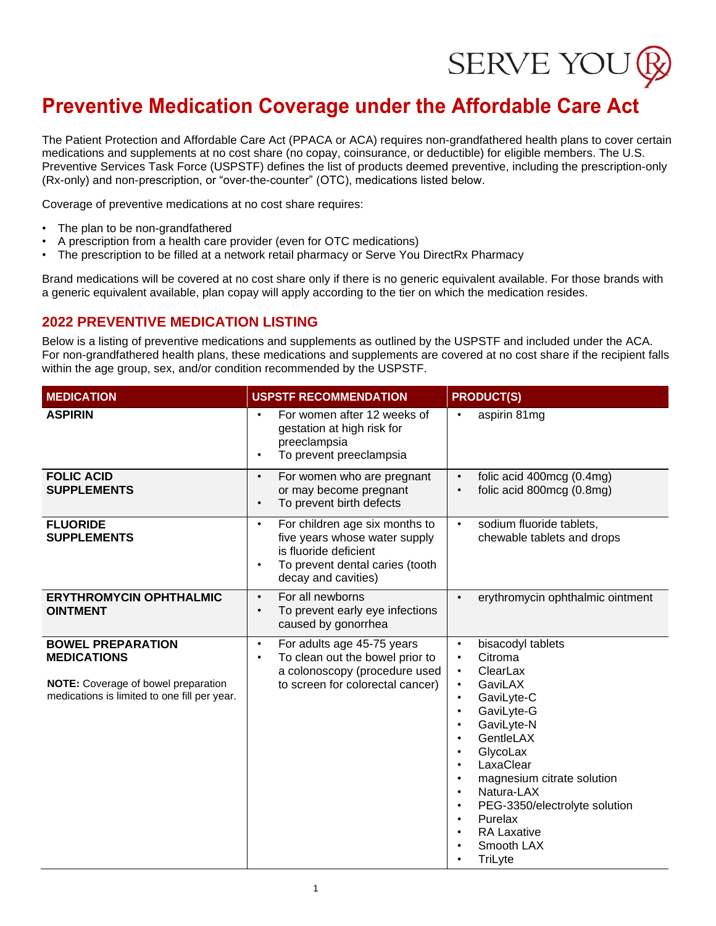

The Patient Protection and Affordable Care Act (PPACA or ACA) requires non-grandfathered health plans to cover certain medications and supplements at no cost share (no copay, coinsurance, or deductible) for eligible members. The U.S. Preventive Services Task Force (USPSTF) defines the list of products deemed preventive, including the prescription-only (Rx-only) and non-prescription, or "over-the-counter" (OTC), medications listed below.

Coverage of preventive medications at no cost share requires:

- The plan to be non-grandfathered
- A prescription from a health care provider (even for OTC medications)
- The prescription to be filled at a network retail pharmacy or Serve You DirectRx Pharmacy

Brand medications will be covered at no cost share only if there is no generic equivalent available. For those brands with a generic equivalent available, plan copay will apply according to the tier on which the medication resides.

#### **2022 PREVENTIVE MEDICATION LISTING**

Below is a listing of preventive medications and supplements as outlined by the USPSTF and included under the ACA. For non-grandfathered health plans, these medications and supplements are covered at no cost share if the recipient falls within the age group, sex, and/or condition recommended by the USPSTF.

| <b>MEDICATION</b>                                                                                                                     | <b>USPSTF RECOMMENDATION</b>                                                                                                                                                 | <b>PRODUCT(S)</b>                                                                                                                                                                                                                                                                                                                                                                                                                      |  |  |  |
|---------------------------------------------------------------------------------------------------------------------------------------|------------------------------------------------------------------------------------------------------------------------------------------------------------------------------|----------------------------------------------------------------------------------------------------------------------------------------------------------------------------------------------------------------------------------------------------------------------------------------------------------------------------------------------------------------------------------------------------------------------------------------|--|--|--|
| <b>ASPIRIN</b>                                                                                                                        | For women after 12 weeks of<br>$\bullet$<br>gestation at high risk for<br>preeclampsia<br>To prevent preeclampsia<br>$\bullet$                                               | aspirin 81mg<br>$\bullet$                                                                                                                                                                                                                                                                                                                                                                                                              |  |  |  |
| <b>FOLIC ACID</b><br><b>SUPPLEMENTS</b>                                                                                               | For women who are pregnant<br>$\bullet$<br>or may become pregnant<br>To prevent birth defects<br>$\bullet$                                                                   | folic acid 400mcg (0.4mg)<br>folic acid 800mcg (0.8mg)                                                                                                                                                                                                                                                                                                                                                                                 |  |  |  |
| <b>FLUORIDE</b><br><b>SUPPLEMENTS</b>                                                                                                 | For children age six months to<br>$\bullet$<br>five years whose water supply<br>is fluoride deficient<br>To prevent dental caries (tooth<br>$\bullet$<br>decay and cavities) | sodium fluoride tablets,<br>$\bullet$<br>chewable tablets and drops                                                                                                                                                                                                                                                                                                                                                                    |  |  |  |
| <b>ERYTHROMYCIN OPHTHALMIC</b><br><b>OINTMENT</b>                                                                                     | For all newborns<br>$\bullet$<br>To prevent early eye infections<br>$\bullet$<br>caused by gonorrhea                                                                         | erythromycin ophthalmic ointment                                                                                                                                                                                                                                                                                                                                                                                                       |  |  |  |
| <b>BOWEL PREPARATION</b><br><b>MEDICATIONS</b><br>NOTE: Coverage of bowel preparation<br>medications is limited to one fill per year. | For adults age 45-75 years<br>$\bullet$<br>To clean out the bowel prior to<br>$\bullet$<br>a colonoscopy (procedure used<br>to screen for colorectal cancer)                 | bisacodyl tablets<br>$\bullet$<br>Citroma<br>$\bullet$<br>ClearLax<br>$\bullet$<br>GaviLAX<br>$\bullet$<br>GaviLyte-C<br>GaviLyte-G<br>$\bullet$<br>GaviLyte-N<br>$\bullet$<br>GentleLAX<br>GlycoLax<br>$\bullet$<br>LaxaClear<br>$\bullet$<br>magnesium citrate solution<br>Natura-LAX<br>$\bullet$<br>PEG-3350/electrolyte solution<br>$\bullet$<br>Purelax<br>$\bullet$<br><b>RA Laxative</b><br>$\bullet$<br>Smooth LAX<br>TriLyte |  |  |  |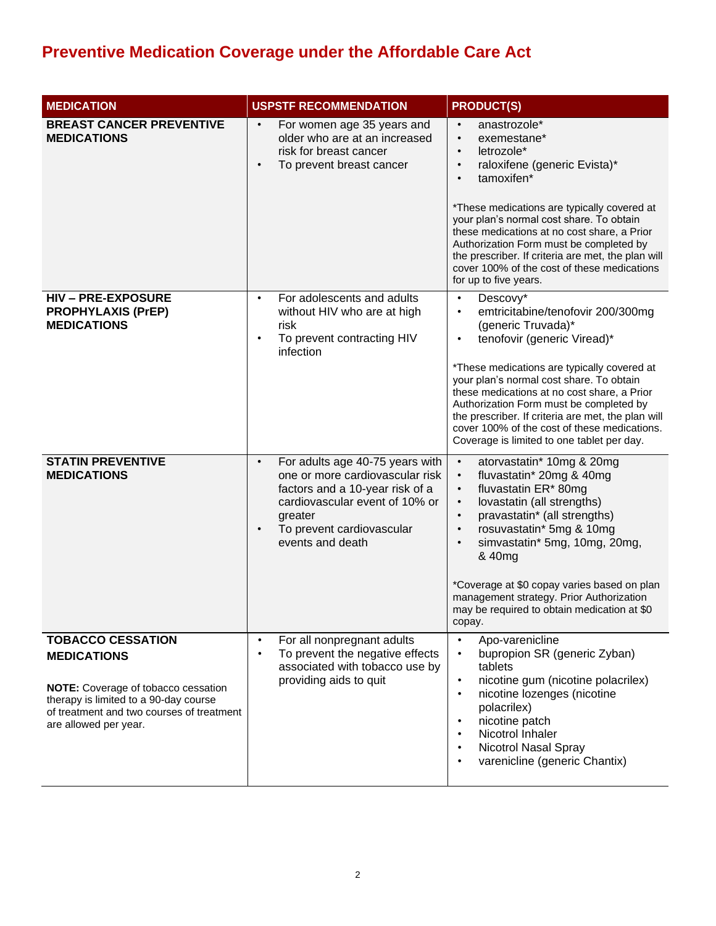| <b>MEDICATION</b>                                                                                                                                  | <b>USPSTF RECOMMENDATION</b>                                                                                                                                                                                                  | <b>PRODUCT(S)</b>                                                                                                                                                                                                                                                                                                                                                                                                                                                                  |
|----------------------------------------------------------------------------------------------------------------------------------------------------|-------------------------------------------------------------------------------------------------------------------------------------------------------------------------------------------------------------------------------|------------------------------------------------------------------------------------------------------------------------------------------------------------------------------------------------------------------------------------------------------------------------------------------------------------------------------------------------------------------------------------------------------------------------------------------------------------------------------------|
| <b>BREAST CANCER PREVENTIVE</b><br><b>MEDICATIONS</b>                                                                                              | For women age 35 years and<br>$\bullet$<br>older who are at an increased<br>risk for breast cancer<br>To prevent breast cancer<br>$\bullet$                                                                                   | anastrozole*<br>exemestane*<br>$\bullet$<br>letrozole*<br>$\bullet$<br>raloxifene (generic Evista)*<br>$\bullet$<br>tamoxifen*<br>$\bullet$<br>*These medications are typically covered at<br>your plan's normal cost share. To obtain<br>these medications at no cost share, a Prior<br>Authorization Form must be completed by<br>the prescriber. If criteria are met, the plan will<br>cover 100% of the cost of these medications<br>for up to five years.                     |
| <b>HIV-PRE-EXPOSURE</b><br><b>PROPHYLAXIS (PrEP)</b><br><b>MEDICATIONS</b>                                                                         | For adolescents and adults<br>$\bullet$<br>without HIV who are at high<br>risk<br>To prevent contracting HIV<br>$\bullet$<br>infection                                                                                        | Descovy*<br>$\bullet$<br>emtricitabine/tenofovir 200/300mg<br>$\bullet$<br>(generic Truvada)*<br>tenofovir (generic Viread)*<br>$\bullet$<br>*These medications are typically covered at<br>your plan's normal cost share. To obtain<br>these medications at no cost share, a Prior<br>Authorization Form must be completed by<br>the prescriber. If criteria are met, the plan will<br>cover 100% of the cost of these medications.<br>Coverage is limited to one tablet per day. |
| <b>STATIN PREVENTIVE</b><br><b>MEDICATIONS</b>                                                                                                     | For adults age 40-75 years with<br>$\bullet$<br>one or more cardiovascular risk<br>factors and a 10-year risk of a<br>cardiovascular event of 10% or<br>greater<br>To prevent cardiovascular<br>$\bullet$<br>events and death | $\bullet$<br>atorvastatin* 10mg & 20mg<br>fluvastatin* 20mg & 40mg<br>$\bullet$<br>fluvastatin ER* 80mg<br>$\bullet$<br>lovastatin (all strengths)<br>$\bullet$<br>pravastatin* (all strengths)<br>$\bullet$<br>rosuvastatin* 5mg & 10mg<br>$\bullet$<br>simvastatin* 5mg, 10mg, 20mg,<br>$\bullet$<br>& 40mg<br>*Coverage at \$0 copay varies based on plan<br>management strategy. Prior Authorization<br>may be required to obtain medication at \$0<br>copay.                  |
| <b>TOBACCO CESSATION</b><br><b>MEDICATIONS</b>                                                                                                     | For all nonpregnant adults<br>$\bullet$<br>To prevent the negative effects<br>$\bullet$                                                                                                                                       | Apo-varenicline<br>$\bullet$<br>bupropion SR (generic Zyban)<br>$\bullet$                                                                                                                                                                                                                                                                                                                                                                                                          |
| NOTE: Coverage of tobacco cessation<br>therapy is limited to a 90-day course<br>of treatment and two courses of treatment<br>are allowed per year. | associated with tobacco use by<br>providing aids to quit                                                                                                                                                                      | tablets<br>nicotine gum (nicotine polacrilex)<br>$\bullet$<br>nicotine lozenges (nicotine<br>$\bullet$<br>polacrilex)<br>nicotine patch<br>Nicotrol Inhaler<br><b>Nicotrol Nasal Spray</b><br>varenicline (generic Chantix)                                                                                                                                                                                                                                                        |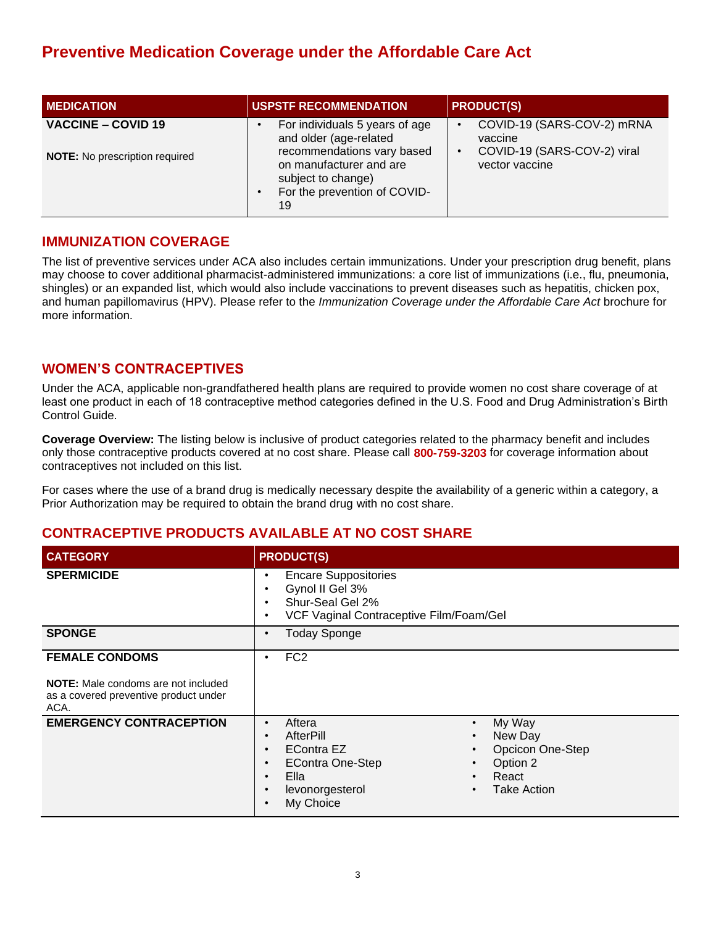| <b>MEDICATION</b>                                                  | <b>USPSTF RECOMMENDATION</b>                                                                                                                                                  | <b>PRODUCT(S)</b>                                                                      |  |  |  |
|--------------------------------------------------------------------|-------------------------------------------------------------------------------------------------------------------------------------------------------------------------------|----------------------------------------------------------------------------------------|--|--|--|
| <b>VACCINE - COVID 19</b><br><b>NOTE:</b> No prescription required | For individuals 5 years of age<br>and older (age-related<br>recommendations vary based<br>on manufacturer and are<br>subject to change)<br>For the prevention of COVID-<br>19 | COVID-19 (SARS-COV-2) mRNA<br>vaccine<br>COVID-19 (SARS-COV-2) viral<br>vector vaccine |  |  |  |

#### **IMMUNIZATION COVERAGE**

The list of preventive services under ACA also includes certain immunizations. Under your prescription drug benefit, plans may choose to cover additional pharmacist-administered immunizations: a core list of immunizations (i.e., flu, pneumonia, shingles) or an expanded list, which would also include vaccinations to prevent diseases such as hepatitis, chicken pox, and human papillomavirus (HPV). Please refer to the *Immunization Coverage under the Affordable Care Act* brochure for more information.

#### **WOMEN'S CONTRACEPTIVES**

Under the ACA, applicable non-grandfathered health plans are required to provide women no cost share coverage of at least one product in each of 18 contraceptive method categories defined in the U.S. Food and Drug Administration's Birth Control Guide.

**Coverage Overview:** The listing below is inclusive of product categories related to the pharmacy benefit and includes only those contraceptive products covered at no cost share. Please call **800-759-3203** for coverage information about contraceptives not included on this list.

For cases where the use of a brand drug is medically necessary despite the availability of a generic within a category, a Prior Authorization may be required to obtain the brand drug with no cost share.

#### **CONTRACEPTIVE PRODUCTS AVAILABLE AT NO COST SHARE**

| <b>CATEGORY</b>                                                                                                      | <b>PRODUCT(S)</b>                                                                                                                                                                                                                                                                                                                                                        |
|----------------------------------------------------------------------------------------------------------------------|--------------------------------------------------------------------------------------------------------------------------------------------------------------------------------------------------------------------------------------------------------------------------------------------------------------------------------------------------------------------------|
| <b>SPERMICIDE</b>                                                                                                    | <b>Encare Suppositories</b><br>$\bullet$<br>Gynol II Gel 3%<br>٠<br>Shur-Seal Gel 2%<br>$\bullet$<br>VCF Vaginal Contraceptive Film/Foam/Gel<br>٠                                                                                                                                                                                                                        |
| <b>SPONGE</b>                                                                                                        | <b>Today Sponge</b><br>٠                                                                                                                                                                                                                                                                                                                                                 |
| <b>FEMALE CONDOMS</b><br><b>NOTE:</b> Male condoms are not included<br>as a covered preventive product under<br>ACA. | FC <sub>2</sub><br>٠                                                                                                                                                                                                                                                                                                                                                     |
| <b>EMERGENCY CONTRACEPTION</b>                                                                                       | Aftera<br>My Way<br>$\bullet$<br>$\bullet$<br>AfterPill<br>New Day<br>$\bullet$<br>$\bullet$<br>Opcicon One-Step<br><b>EContra EZ</b><br>$\bullet$<br>$\bullet$<br><b>EContra One-Step</b><br>Option 2<br>$\bullet$<br>$\bullet$<br>Ella<br>React<br>$\bullet$<br>$\bullet$<br><b>Take Action</b><br>levonorgesterol<br>$\bullet$<br>$\bullet$<br>My Choice<br>$\bullet$ |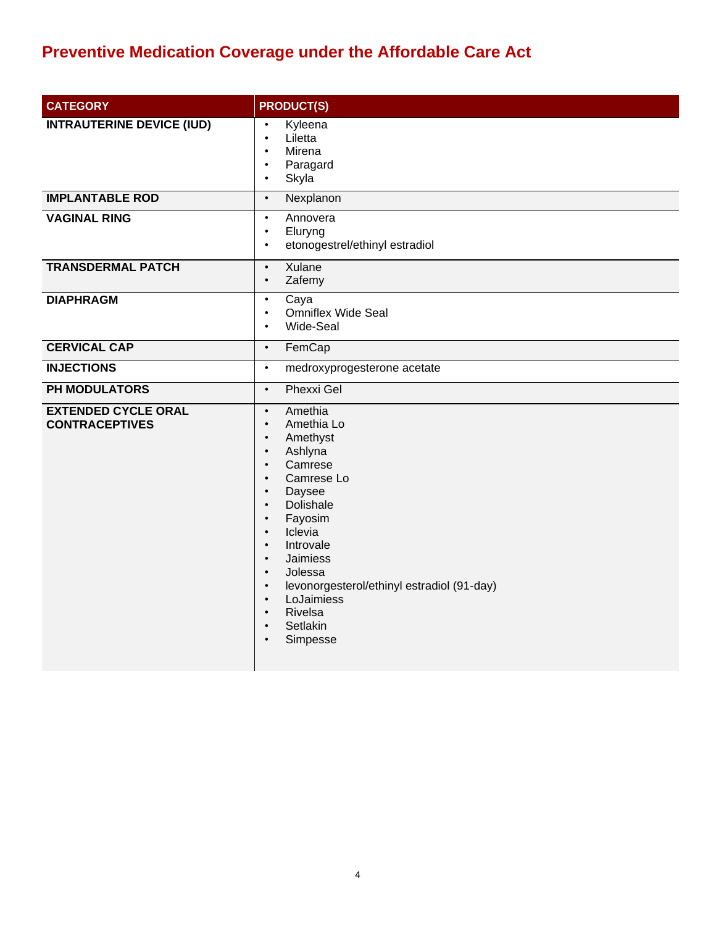| <b>CATEGORY</b>                                     | <b>PRODUCT(S)</b>                                                                                                                                                                                                                                                                                                                                                                                                                                                                                      |
|-----------------------------------------------------|--------------------------------------------------------------------------------------------------------------------------------------------------------------------------------------------------------------------------------------------------------------------------------------------------------------------------------------------------------------------------------------------------------------------------------------------------------------------------------------------------------|
| <b>INTRAUTERINE DEVICE (IUD)</b>                    | Kyleena<br>$\bullet$<br>Liletta<br>$\bullet$<br>Mirena<br>$\bullet$<br>Paragard<br>$\bullet$<br>Skyla<br>$\bullet$                                                                                                                                                                                                                                                                                                                                                                                     |
| <b>IMPLANTABLE ROD</b>                              | Nexplanon<br>$\bullet$                                                                                                                                                                                                                                                                                                                                                                                                                                                                                 |
| <b>VAGINAL RING</b>                                 | Annovera<br>$\bullet$<br>Eluryng<br>$\bullet$<br>etonogestrel/ethinyl estradiol<br>$\bullet$                                                                                                                                                                                                                                                                                                                                                                                                           |
| <b>TRANSDERMAL PATCH</b>                            | Xulane<br>$\bullet$<br>Zafemy<br>$\bullet$                                                                                                                                                                                                                                                                                                                                                                                                                                                             |
| <b>DIAPHRAGM</b>                                    | Caya<br>$\bullet$<br>Omniflex Wide Seal<br>$\bullet$<br>Wide-Seal<br>$\bullet$                                                                                                                                                                                                                                                                                                                                                                                                                         |
| <b>CERVICAL CAP</b>                                 | FemCap<br>$\bullet$                                                                                                                                                                                                                                                                                                                                                                                                                                                                                    |
| <b>INJECTIONS</b>                                   | medroxyprogesterone acetate<br>$\bullet$                                                                                                                                                                                                                                                                                                                                                                                                                                                               |
| PH MODULATORS                                       | <b>Phexxi Gel</b><br>$\bullet$                                                                                                                                                                                                                                                                                                                                                                                                                                                                         |
| <b>EXTENDED CYCLE ORAL</b><br><b>CONTRACEPTIVES</b> | Amethia<br>$\bullet$<br>Amethia Lo<br>$\bullet$<br>Amethyst<br>$\bullet$<br>Ashlyna<br>$\bullet$<br>Camrese<br>$\bullet$<br>Camrese Lo<br>$\bullet$<br>Daysee<br>$\bullet$<br>Dolishale<br>$\bullet$<br>Fayosim<br>$\bullet$<br>Iclevia<br>$\bullet$<br>Introvale<br>$\bullet$<br><b>Jaimiess</b><br>$\bullet$<br>Jolessa<br>$\bullet$<br>levonorgesterol/ethinyl estradiol (91-day)<br>$\bullet$<br>LoJaimiess<br>$\bullet$<br>Rivelsa<br>$\bullet$<br>Setlakin<br>$\bullet$<br>Simpesse<br>$\bullet$ |